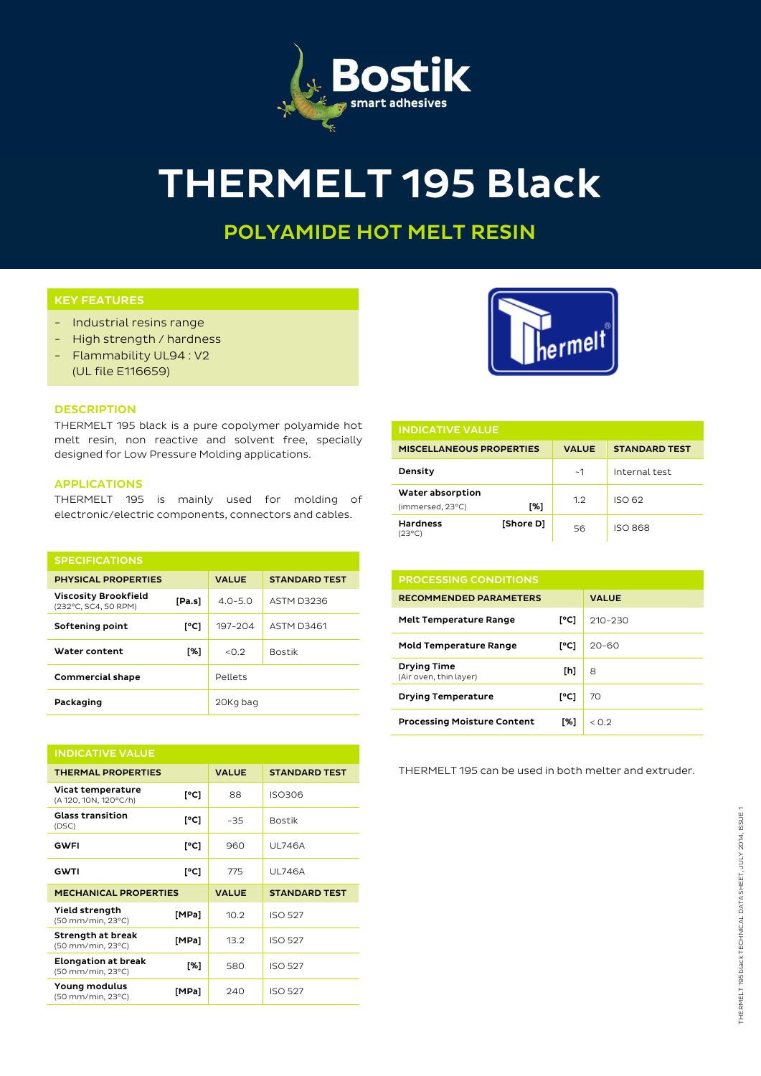

# THERMELT 195 Black

## POLYAMIDE HOT MELT RESIN

### KEY FEATURES

- Industrial resins range
- High strength / hardness
- Flammability UL94 : V2 (UL file E116659)

#### **DESCRIPTION**

THERMELT 195 black is a pure copolymer polyamide hot melt resin, non reactive and solvent free, specially designed for Low Pressure Molding applications.

#### APPLICATIONS

THERMELT 195 is mainly used for molding of electronic/electric components, connectors and cables.

| <b>SPECIFICATIONS</b>                               |        |              |                      |  |  |
|-----------------------------------------------------|--------|--------------|----------------------|--|--|
| <b>PHYSICAL PROPERTIES</b>                          |        | <b>VALUE</b> | <b>STANDARD TEST</b> |  |  |
| <b>Viscosity Brookfield</b><br>(232°C, SC4, 50 RPM) | [Pa.s] | $4.0 - 5.0$  | ASTM D3236           |  |  |
| Softening point                                     | [°C]   | 197-204      | <b>ASTM D3461</b>    |  |  |
| Water content                                       | [%]    | < 0.2        | <b>Bostik</b>        |  |  |
| <b>Commercial shape</b>                             |        | Pellets      |                      |  |  |
| Packaging                                           |        | 20Kg bag     |                      |  |  |

| <b>INDICATIVE VALUE</b>                         |       |              |                      |  |
|-------------------------------------------------|-------|--------------|----------------------|--|
| <b>THERMAL PROPERTIES</b>                       |       | <b>VALUE</b> | <b>STANDARD TEST</b> |  |
| Vicat temperature<br>(A 120, 10N, 120°C/h)      | [°C]  | 88           | <b>ISO306</b>        |  |
| <b>Glass transition</b><br>(DSC)                | [°C]  | $-35$        | <b>Bostik</b>        |  |
| <b>GWFI</b>                                     | [°C]  | 960          | <b>UL746A</b>        |  |
| <b>GWTI</b>                                     | [°C]  | 775          | <b>UL746A</b>        |  |
| <b>MECHANICAL PROPERTIES</b>                    |       | <b>VALUE</b> | <b>STANDARD TEST</b> |  |
| Yield strength<br>(50 mm/min, 23°C)             | [MPa] | 10.2         | <b>ISO 527</b>       |  |
| Strength at break<br>(50 mm/min, 23°C)          | [MPa] | 13.2         | <b>ISO 527</b>       |  |
| <b>Elongation at break</b><br>(50 mm/min, 23°C) | [%]   | 580          | <b>ISO 527</b>       |  |
| Young modulus<br>(50 mm/min, 23°C)              | [MPa] | 240          | <b>ISO 527</b>       |  |



| <b>INDICATIVE VALUE</b>              |           |              |                      |  |  |
|--------------------------------------|-----------|--------------|----------------------|--|--|
| <b>MISCELLANEOUS PROPERTIES</b>      |           | <b>VALUE</b> | <b>STANDARD TEST</b> |  |  |
| Density                              |           | ~1~          | Internal test        |  |  |
| Water absorption<br>(immersed, 23°C) | [%]       | 1.2          | ISO 62               |  |  |
| <b>Hardness</b><br>(23°C)            | [Shore D] | 56           | <b>ISO 868</b>       |  |  |

| <b>PROCESSING CONDITIONS</b>                 |      |              |
|----------------------------------------------|------|--------------|
| <b>RECOMMENDED PARAMETERS</b>                |      | <b>VALUE</b> |
| <b>Melt Temperature Range</b>                | [°C] | $210 - 230$  |
| <b>Mold Temperature Range</b>                | [°C] | $20 - 60$    |
| <b>Drying Time</b><br>(Air oven, thin layer) | [h]  | 8            |
| <b>Drying Temperature</b>                    | [°C] | 70           |
| <b>Processing Moisture Content</b>           | [%]  | < 0.2        |

THERMELT 195 can be used in both melter and extruder.